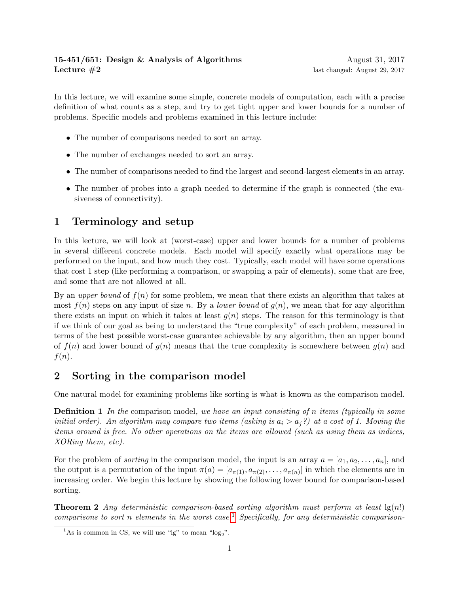In this lecture, we will examine some simple, concrete models of computation, each with a precise definition of what counts as a step, and try to get tight upper and lower bounds for a number of problems. Specific models and problems examined in this lecture include:

- The number of comparisons needed to sort an array.
- The number of exchanges needed to sort an array.
- The number of comparisons needed to find the largest and second-largest elements in an array.
- The number of probes into a graph needed to determine if the graph is connected (the evasiveness of connectivity).

# 1 Terminology and setup

In this lecture, we will look at (worst-case) upper and lower bounds for a number of problems in several different concrete models. Each model will specify exactly what operations may be performed on the input, and how much they cost. Typically, each model will have some operations that cost 1 step (like performing a comparison, or swapping a pair of elements), some that are free, and some that are not allowed at all.

By an upper bound of  $f(n)$  for some problem, we mean that there exists an algorithm that takes at most  $f(n)$  steps on any input of size n. By a *lower bound* of  $g(n)$ , we mean that for any algorithm there exists an input on which it takes at least  $g(n)$  steps. The reason for this terminology is that if we think of our goal as being to understand the "true complexity" of each problem, measured in terms of the best possible worst-case guarantee achievable by any algorithm, then an upper bound of  $f(n)$  and lower bound of  $g(n)$  means that the true complexity is somewhere between  $g(n)$  and  $f(n)$ .

## 2 Sorting in the comparison model

One natural model for examining problems like sorting is what is known as the comparison model.

**Definition 1** In the comparison model, we have an input consisting of n items (typically in some initial order). An algorithm may compare two items (asking is  $a_i > a_j$ ?) at a cost of 1. Moving the items around is free. No other operations on the items are allowed (such as using them as indices, XORing them, etc).

For the problem of *sorting* in the comparison model, the input is an array  $a = [a_1, a_2, \ldots, a_n]$ , and the output is a permutation of the input  $\pi(a) = [a_{\pi(1)}, a_{\pi(2)}, \dots, a_{\pi(n)}]$  in which the elements are in increasing order. We begin this lecture by showing the following lower bound for comparison-based sorting.

**Theorem 2** Any deterministic comparison-based sorting algorithm must perform at least  $\lg(n!)$ comparisons to sort n elements in the worst case.<sup>[1](#page-0-0)</sup> Specifically, for any deterministic comparison-

<span id="page-0-0"></span><sup>&</sup>lt;sup>1</sup>As is common in CS, we will use "lg" to mean "log<sub>2</sub>".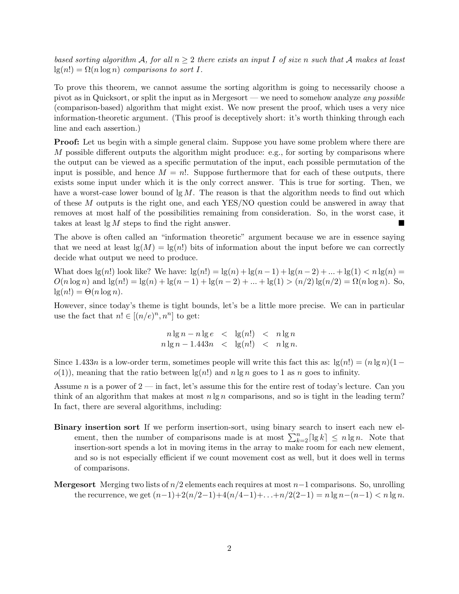based sorting algorithm A, for all  $n \geq 2$  there exists an input I of size n such that A makes at least  $lg(n!) = \Omega(n \log n)$  comparisons to sort I.

To prove this theorem, we cannot assume the sorting algorithm is going to necessarily choose a pivot as in Quicksort, or split the input as in Mergesort — we need to somehow analyze any possible (comparison-based) algorithm that might exist. We now present the proof, which uses a very nice information-theoretic argument. (This proof is deceptively short: it's worth thinking through each line and each assertion.)

**Proof:** Let us begin with a simple general claim. Suppose you have some problem where there are M possible different outputs the algorithm might produce: e.g., for sorting by comparisons where the output can be viewed as a specific permutation of the input, each possible permutation of the input is possible, and hence  $M = n!$ . Suppose furthermore that for each of these outputs, there exists some input under which it is the only correct answer. This is true for sorting. Then, we have a worst-case lower bound of  $\lg M$ . The reason is that the algorithm needs to find out which of these M outputs is the right one, and each YES/NO question could be answered in away that removes at most half of the possibilities remaining from consideration. So, in the worst case, it takes at least  $\lg M$  steps to find the right answer.

The above is often called an "information theoretic" argument because we are in essence saying that we need at least  $\lg(M) = \lg(n!)$  bits of information about the input before we can correctly decide what output we need to produce.

What does  $\lg(n!)$  look like? We have:  $\lg(n!) = \lg(n) + \lg(n-1) + \lg(n-2) + ... + \lg(1) < n \lg(n) =$  $O(n \log n)$  and  $\lg(n!) = \lg(n) + \lg(n-1) + \lg(n-2) + ... + \lg(1) > (n/2) \lg(n/2) = \Omega(n \log n)$ . So,  $lg(n!) = \Theta(n \log n).$ 

However, since today's theme is tight bounds, let's be a little more precise. We can in particular use the fact that  $n! \in [(n/e)^n, n^n]$  to get:

$$
n \lg n - n \lg e \le \lg(n!) \le n \lg n
$$
  

$$
n \lg n - 1.443n \le \lg(n!) \le n \lg n.
$$

Since 1.433n is a low-order term, sometimes people will write this fact this as:  $\lg(n!) = (n \lg n)(1-\pi)$  $o(1)$ , meaning that the ratio between  $\lg(n!)$  and  $n \lg n$  goes to 1 as n goes to infinity.

Assume n is a power of  $2$  — in fact, let's assume this for the entire rest of today's lecture. Can you think of an algorithm that makes at most  $n \lg n$  comparisons, and so is tight in the leading term? In fact, there are several algorithms, including:

- Binary insertion sort If we perform insertion-sort, using binary search to insert each new element, then the number of comparisons made is at most  $\sum_{k=2}^{n} \lceil \lg k \rceil \le n \lg n$ . Note that insertion-sort spends a lot in moving items in the array to make room for each new element, and so is not especially efficient if we count movement cost as well, but it does well in terms of comparisons.
- **Mergesort** Merging two lists of  $n/2$  elements each requires at most  $n-1$  comparisons. So, unrolling the recurrence, we get  $(n-1)+2(n/2-1)+4(n/4-1)+...+n/2(2-1) = n \lg n - (n-1) < n \lg n$ .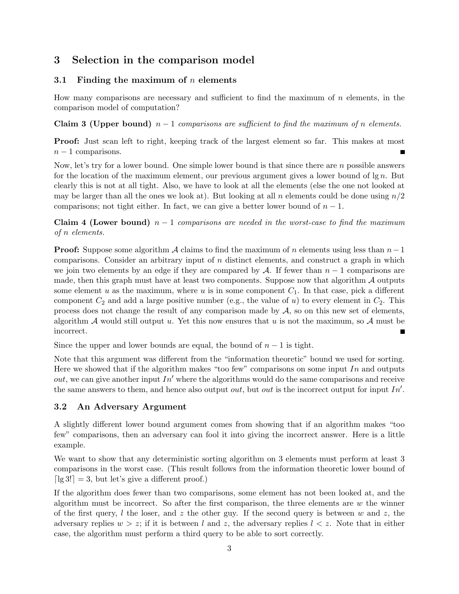## 3 Selection in the comparison model

#### 3.1 Finding the maximum of  $n$  elements

How many comparisons are necessary and sufficient to find the maximum of  $n$  elements, in the comparison model of computation?

Claim 3 (Upper bound)  $n-1$  comparisons are sufficient to find the maximum of n elements.

Proof: Just scan left to right, keeping track of the largest element so far. This makes at most  $n-1$  comparisons.

Now, let's try for a lower bound. One simple lower bound is that since there are n possible answers for the location of the maximum element, our previous argument gives a lower bound of  $\lg n$ . But clearly this is not at all tight. Also, we have to look at all the elements (else the one not looked at may be larger than all the ones we look at). But looking at all n elements could be done using  $n/2$ comparisons; not tight either. In fact, we can give a better lower bound of  $n-1$ .

Claim 4 (Lower bound)  $n-1$  comparisons are needed in the worst-case to find the maximum of n elements.

**Proof:** Suppose some algorithm A claims to find the maximum of n elements using less than  $n-1$ comparisons. Consider an arbitrary input of  $n$  distinct elements, and construct a graph in which we join two elements by an edge if they are compared by A. If fewer than  $n-1$  comparisons are made, then this graph must have at least two components. Suppose now that algorithm  $\mathcal A$  outputs some element u as the maximum, where u is in some component  $C_1$ . In that case, pick a different component  $C_2$  and add a large positive number (e.g., the value of u) to every element in  $C_2$ . This process does not change the result of any comparison made by  $A$ , so on this new set of elements, algorithm  $A$  would still output u. Yet this now ensures that u is not the maximum, so  $A$  must be incorrect. П

Since the upper and lower bounds are equal, the bound of  $n-1$  is tight.

Note that this argument was different from the "information theoretic" bound we used for sorting. Here we showed that if the algorithm makes "too few" comparisons on some input In and outputs *out*, we can give another input  $In'$  where the algorithms would do the same comparisons and receive the same answers to them, and hence also output *out*, but *out* is the incorrect output for input  $In'.$ 

#### 3.2 An Adversary Argument

A slightly different lower bound argument comes from showing that if an algorithm makes "too few" comparisons, then an adversary can fool it into giving the incorrect answer. Here is a little example.

We want to show that any deterministic sorting algorithm on 3 elements must perform at least 3 comparisons in the worst case. (This result follows from the information theoretic lower bound of  $\lceil \lg 3! \rceil = 3$ , but let's give a different proof.)

If the algorithm does fewer than two comparisons, some element has not been looked at, and the algorithm must be incorrect. So after the first comparison, the three elements are  $w$  the winner of the first query, l the loser, and z the other guy. If the second query is between w and z, the adversary replies  $w > z$ ; if it is between l and z, the adversary replies  $l < z$ . Note that in either case, the algorithm must perform a third query to be able to sort correctly.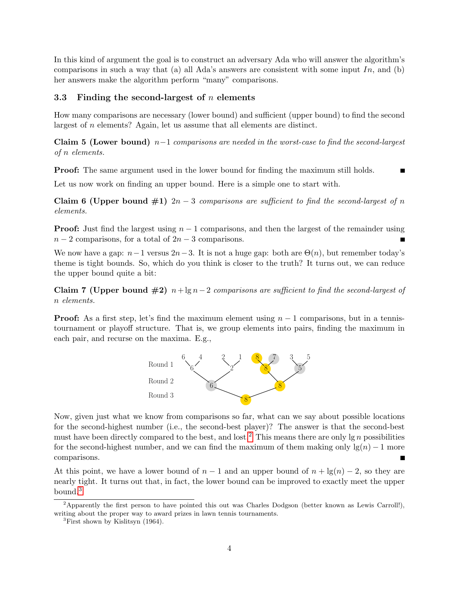In this kind of argument the goal is to construct an adversary Ada who will answer the algorithm's comparisons in such a way that (a) all Ada's answers are consistent with some input  $In$ , and (b) her answers make the algorithm perform "many" comparisons.

#### 3.3 Finding the second-largest of  $n$  elements

How many comparisons are necessary (lower bound) and sufficient (upper bound) to find the second largest of n elements? Again, let us assume that all elements are distinct.

Claim 5 (Lower bound)  $n-1$  comparisons are needed in the worst-case to find the second-largest of n elements.

**Proof:** The same argument used in the lower bound for finding the maximum still holds.

Let us now work on finding an upper bound. Here is a simple one to start with.

Claim 6 (Upper bound  $\#1$ )  $2n-3$  comparisons are sufficient to find the second-largest of n elements.

**Proof:** Just find the largest using  $n-1$  comparisons, and then the largest of the remainder using  $n-2$  comparisons, for a total of  $2n-3$  comparisons.

We now have a gap:  $n-1$  versus  $2n-3$ . It is not a huge gap: both are  $\Theta(n)$ , but remember today's theme is tight bounds. So, which do you think is closer to the truth? It turns out, we can reduce the upper bound quite a bit:

Claim 7 (Upper bound  $\#2$ )  $n+\lg n-2$  comparisons are sufficient to find the second-largest of n elements.

**Proof:** As a first step, let's find the maximum element using  $n-1$  comparisons, but in a tennistournament or playoff structure. That is, we group elements into pairs, finding the maximum in each pair, and recurse on the maxima. E.g.,



Now, given just what we know from comparisons so far, what can we say about possible locations for the second-highest number (i.e., the second-best player)? The answer is that the second-best must have been directly compared to the best, and lost.<sup>[2](#page-3-0)</sup> This means there are only  $\lg n$  possibilities for the second-highest number, and we can find the maximum of them making only  $\lg(n) - 1$  more comparisons.

At this point, we have a lower bound of  $n-1$  and an upper bound of  $n + \lg(n) - 2$ , so they are nearly tight. It turns out that, in fact, the lower bound can be improved to exactly meet the upper bound.[3](#page-3-1)

<span id="page-3-0"></span><sup>2</sup>Apparently the first person to have pointed this out was Charles Dodgson (better known as Lewis Carroll!), writing about the proper way to award prizes in lawn tennis tournaments.

<span id="page-3-1"></span><sup>3</sup>First shown by Kislitsyn (1964).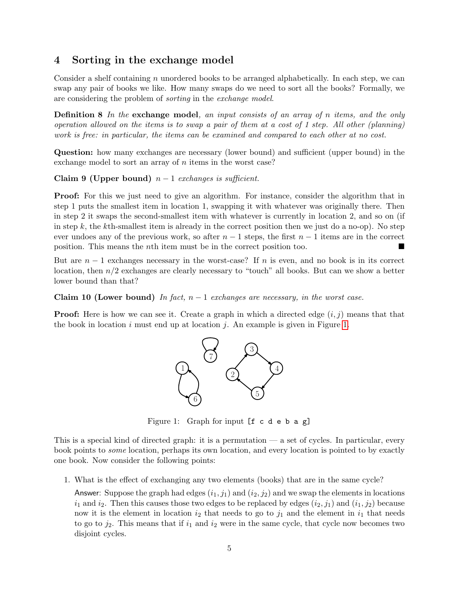### 4 Sorting in the exchange model

Consider a shelf containing n unordered books to be arranged alphabetically. In each step, we can swap any pair of books we like. How many swaps do we need to sort all the books? Formally, we are considering the problem of sorting in the exchange model.

Definition 8 In the exchange model, an input consists of an array of n items, and the only operation allowed on the items is to swap a pair of them at a cost of 1 step. All other (planning) work is free: in particular, the items can be examined and compared to each other at no cost.

Question: how many exchanges are necessary (lower bound) and sufficient (upper bound) in the exchange model to sort an array of *n* items in the worst case?

Claim 9 (Upper bound)  $n-1$  exchanges is sufficient.

**Proof:** For this we just need to give an algorithm. For instance, consider the algorithm that in step 1 puts the smallest item in location 1, swapping it with whatever was originally there. Then in step 2 it swaps the second-smallest item with whatever is currently in location 2, and so on (if in step  $k$ , the kth-smallest item is already in the correct position then we just do a no-op). No step ever undoes any of the previous work, so after  $n-1$  steps, the first  $n-1$  items are in the correct position. This means the nth item must be in the correct position too.

But are  $n-1$  exchanges necessary in the worst-case? If n is even, and no book is in its correct location, then  $n/2$  exchanges are clearly necessary to "touch" all books. But can we show a better lower bound than that?

Claim 10 (Lower bound) In fact,  $n-1$  exchanges are necessary, in the worst case.

**Proof:** Here is how we can see it. Create a graph in which a directed edge  $(i, j)$  means that that the book in location  $i$  must end up at location  $j$ . An example is given in Figure [1.](#page-4-0)



<span id="page-4-0"></span>Figure 1: Graph for input [f c d e b a g]

This is a special kind of directed graph: it is a permutation — a set of cycles. In particular, every book points to some location, perhaps its own location, and every location is pointed to by exactly one book. Now consider the following points:

1. What is the effect of exchanging any two elements (books) that are in the same cycle?

Answer: Suppose the graph had edges  $(i_1, j_1)$  and  $(i_2, j_2)$  and we swap the elements in locations  $i_1$  and  $i_2$ . Then this causes those two edges to be replaced by edges  $(i_2, j_1)$  and  $(i_1, j_2)$  because now it is the element in location  $i_2$  that needs to go to  $j_1$  and the element in  $i_1$  that needs to go to  $j_2$ . This means that if  $i_1$  and  $i_2$  were in the same cycle, that cycle now becomes two disjoint cycles.